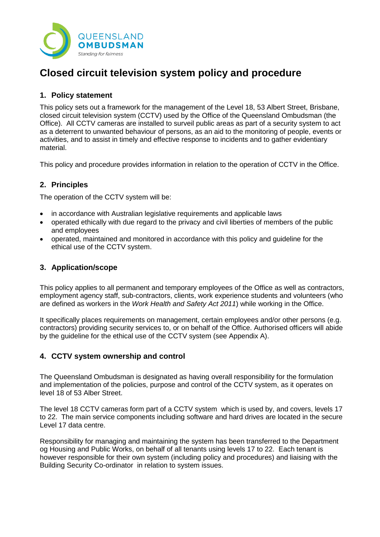

# **Closed circuit television system policy and procedure**

# **1. Policy statement**

This policy sets out a framework for the management of the Level 18, 53 Albert Street, Brisbane, closed circuit television system (CCTV) used by the Office of the Queensland Ombudsman (the Office). All CCTV cameras are installed to surveil public areas as part of a security system to act as a deterrent to unwanted behaviour of persons, as an aid to the monitoring of people, events or activities, and to assist in timely and effective response to incidents and to gather evidentiary material.

This policy and procedure provides information in relation to the operation of CCTV in the Office.

# **2. Principles**

The operation of the CCTV system will be:

- in accordance with Australian legislative requirements and applicable laws
- operated ethically with due regard to the privacy and civil liberties of members of the public and employees
- operated, maintained and monitored in accordance with this policy and guideline for the ethical use of the CCTV system.

# **3. Application/scope**

This policy applies to all permanent and temporary employees of the Office as well as contractors, employment agency staff, sub-contractors, clients, work experience students and volunteers (who are defined as workers in the *Work Health and Safety Act 2011*) while working in the Office.

It specifically places requirements on management, certain employees and/or other persons (e.g. contractors) providing security services to, or on behalf of the Office. Authorised officers will abide by the guideline for the ethical use of the CCTV system (see Appendix A).

# **4. CCTV system ownership and control**

The Queensland Ombudsman is designated as having overall responsibility for the formulation and implementation of the policies, purpose and control of the CCTV system, as it operates on level 18 of 53 Alber Street.

The level 18 CCTV cameras form part of a CCTV system which is used by, and covers, levels 17 to 22. The main service components including software and hard drives are located in the secure Level 17 data centre.

Responsibility for managing and maintaining the system has been transferred to the Department og Housing and Public Works, on behalf of all tenants using levels 17 to 22. Each tenant is however responsible for their own system (including policy and procedures) and liaising with the Building Security Co-ordinator in relation to system issues.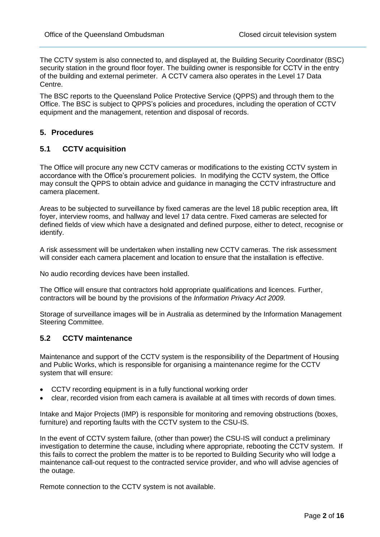The CCTV system is also connected to, and displayed at, the Building Security Coordinator (BSC) security station in the ground floor foyer. The building owner is responsible for CCTV in the entry of the building and external perimeter. A CCTV camera also operates in the Level 17 Data Centre.

The BSC reports to the Queensland Police Protective Service (QPPS) and through them to the Office. The BSC is subject to QPPS's policies and procedures, including the operation of CCTV equipment and the management, retention and disposal of records.

# **5. Procedures**

# **5.1 CCTV acquisition**

The Office will procure any new CCTV cameras or modifications to the existing CCTV system in accordance with the Office's procurement policies. In modifying the CCTV system, the Office may consult the QPPS to obtain advice and guidance in managing the CCTV infrastructure and camera placement.

Areas to be subjected to surveillance by fixed cameras are the level 18 public reception area, lift foyer, interview rooms, and hallway and level 17 data centre. Fixed cameras are selected for defined fields of view which have a designated and defined purpose, either to detect, recognise or identify.

A risk assessment will be undertaken when installing new CCTV cameras. The risk assessment will consider each camera placement and location to ensure that the installation is effective.

No audio recording devices have been installed.

The Office will ensure that contractors hold appropriate qualifications and licences. Further, contractors will be bound by the provisions of the *Information Privacy Act 2009.*

Storage of surveillance images will be in Australia as determined by the Information Management Steering Committee.

## **5.2 CCTV maintenance**

Maintenance and support of the CCTV system is the responsibility of the Department of Housing and Public Works, which is responsible for organising a maintenance regime for the CCTV system that will ensure:

- CCTV recording equipment is in a fully functional working order
- clear, recorded vision from each camera is available at all times with records of down times.

Intake and Major Projects (IMP) is responsible for monitoring and removing obstructions (boxes, furniture) and reporting faults with the CCTV system to the CSU-IS.

In the event of CCTV system failure, (other than power) the CSU-IS will conduct a preliminary investigation to determine the cause, including where appropriate, rebooting the CCTV system. If this fails to correct the problem the matter is to be reported to Building Security who will lodge a maintenance call-out request to the contracted service provider, and who will advise agencies of the outage.

Remote connection to the CCTV system is not available.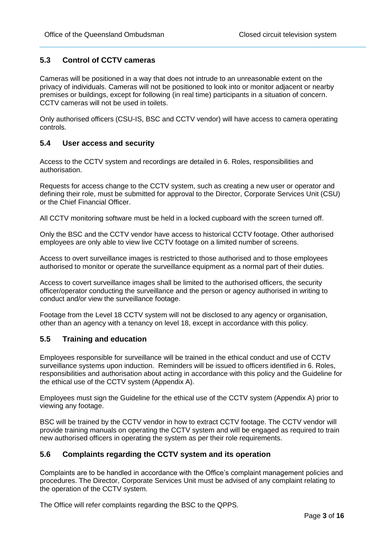# **5.3 Control of CCTV cameras**

Cameras will be positioned in a way that does not intrude to an unreasonable extent on the privacy of individuals. Cameras will not be positioned to look into or monitor adjacent or nearby premises or buildings, except for following (in real time) participants in a situation of concern. CCTV cameras will not be used in toilets.

Only authorised officers (CSU-IS, BSC and CCTV vendor) will have access to camera operating controls.

## **5.4 User access and security**

Access to the CCTV system and recordings are detailed in 6. Roles, responsibilities and authorisation.

Requests for access change to the CCTV system, such as creating a new user or operator and defining their role, must be submitted for approval to the Director, Corporate Services Unit (CSU) or the Chief Financial Officer.

All CCTV monitoring software must be held in a locked cupboard with the screen turned off.

Only the BSC and the CCTV vendor have access to historical CCTV footage. Other authorised employees are only able to view live CCTV footage on a limited number of screens.

Access to overt surveillance images is restricted to those authorised and to those employees authorised to monitor or operate the surveillance equipment as a normal part of their duties.

Access to covert surveillance images shall be limited to the authorised officers, the security officer/operator conducting the surveillance and the person or agency authorised in writing to conduct and/or view the surveillance footage.

Footage from the Level 18 CCTV system will not be disclosed to any agency or organisation, other than an agency with a tenancy on level 18, except in accordance with this policy.

## **5.5 Training and education**

Employees responsible for surveillance will be trained in the ethical conduct and use of CCTV surveillance systems upon induction. Reminders will be issued to officers identified in 6. Roles, responsibilities and authorisation about acting in accordance with this policy and the Guideline for the ethical use of the CCTV system (Appendix A).

Employees must sign the Guideline for the ethical use of the CCTV system (Appendix A) prior to viewing any footage.

BSC will be trained by the CCTV vendor in how to extract CCTV footage. The CCTV vendor will provide training manuals on operating the CCTV system and will be engaged as required to train new authorised officers in operating the system as per their role requirements.

## **5.6 Complaints regarding the CCTV system and its operation**

Complaints are to be handled in accordance with the Office's complaint management policies and procedures. The Director, Corporate Services Unit must be advised of any complaint relating to the operation of the CCTV system.

The Office will refer complaints regarding the BSC to the QPPS.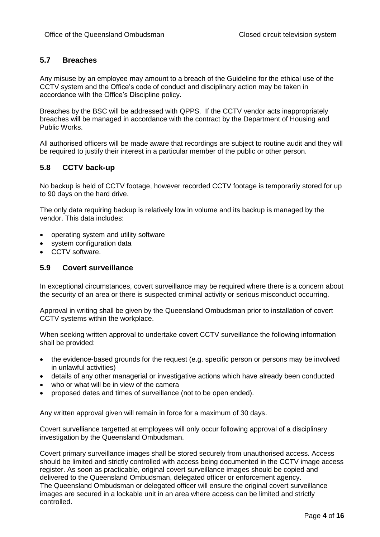# **5.7 Breaches**

Any misuse by an employee may amount to a breach of the Guideline for the ethical use of the CCTV system and the Office's code of conduct and disciplinary action may be taken in accordance with the Office's Discipline policy.

Breaches by the BSC will be addressed with QPPS. If the CCTV vendor acts inappropriately breaches will be managed in accordance with the contract by the Department of Housing and Public Works.

All authorised officers will be made aware that recordings are subject to routine audit and they will be required to justify their interest in a particular member of the public or other person.

# **5.8 CCTV back-up**

No backup is held of CCTV footage, however recorded CCTV footage is temporarily stored for up to 90 days on the hard drive.

The only data requiring backup is relatively low in volume and its backup is managed by the vendor. This data includes:

- operating system and utility software
- system configuration data
- CCTV software.

#### **5.9 Covert surveillance**

In exceptional circumstances, covert surveillance may be required where there is a concern about the security of an area or there is suspected criminal activity or serious misconduct occurring.

Approval in writing shall be given by the Queensland Ombudsman prior to installation of covert CCTV systems within the workplace.

When seeking written approval to undertake covert CCTV surveillance the following information shall be provided:

- the evidence-based grounds for the request (e.g. specific person or persons may be involved in unlawful activities)
- details of any other managerial or investigative actions which have already been conducted
- who or what will be in view of the camera
- proposed dates and times of surveillance (not to be open ended).

Any written approval given will remain in force for a maximum of 30 days.

Covert survelliance targetted at employees will only occur following approval of a disciplinary investigation by the Queensland Ombudsman.

Covert primary surveillance images shall be stored securely from unauthorised access. Access should be limited and strictly controlled with access being documented in the CCTV image access register. As soon as practicable, original covert surveillance images should be copied and delivered to the Queensland Ombudsman, delegated officer or enforcement agency. The Queensland Ombudsman or delegated officer will ensure the original covert surveillance images are secured in a lockable unit in an area where access can be limited and strictly controlled.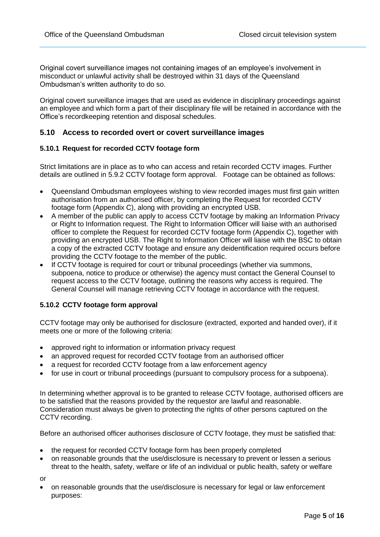Original covert surveillance images not containing images of an employee's involvement in misconduct or unlawful activity shall be destroyed within 31 days of the Queensland Ombudsman's written authority to do so.

Original covert surveillance images that are used as evidence in disciplinary proceedings against an employee and which form a part of their disciplinary file will be retained in accordance with the Office's recordkeeping retention and disposal schedules.

#### **5.10 Access to recorded overt or covert surveillance images**

#### **5.10.1 Request for recorded CCTV footage form**

Strict limitations are in place as to who can access and retain recorded CCTV images. Further details are outlined in 5.9.2 CCTV footage form approval. Footage can be obtained as follows:

- Queensland Ombudsman employees wishing to view recorded images must first gain written authorisation from an authorised officer, by completing the Request for recorded CCTV footage form (Appendix C), along with providing an encrypted USB.
- A member of the public can apply to access CCTV footage by making an Information Privacy or Right to Information request. The Right to Information Officer will liaise with an authorised officer to complete the Request for recorded CCTV footage form (Appendix C), together with providing an encrypted USB. The Right to Information Officer will liaise with the BSC to obtain a copy of the extracted CCTV footage and ensure any deidentification required occurs before providing the CCTV footage to the member of the public.
- If CCTV footage is required for court or tribunal proceedings (whether via summons, subpoena, notice to produce or otherwise) the agency must contact the General Counsel to request access to the CCTV footage, outlining the reasons why access is required. The General Counsel will manage retrieving CCTV footage in accordance with the request.

#### **5.10.2 CCTV footage form approval**

CCTV footage may only be authorised for disclosure (extracted, exported and handed over), if it meets one or more of the following criteria:

- approved right to information or information privacy request
- an approved request for recorded CCTV footage from an authorised officer
- a request for recorded CCTV footage from a law enforcement agency
- for use in court or tribunal proceedings (pursuant to compulsory process for a subpoena).

In determining whether approval is to be granted to release CCTV footage, authorised officers are to be satisfied that the reasons provided by the requestor are lawful and reasonable. Consideration must always be given to protecting the rights of other persons captured on the CCTV recording.

Before an authorised officer authorises disclosure of CCTV footage, they must be satisfied that:

- the request for recorded CCTV footage form has been properly completed
- on reasonable grounds that the use/disclosure is necessary to prevent or lessen a serious threat to the health, safety, welfare or life of an individual or public health, safety or welfare

or

 on reasonable grounds that the use/disclosure is necessary for legal or law enforcement purposes: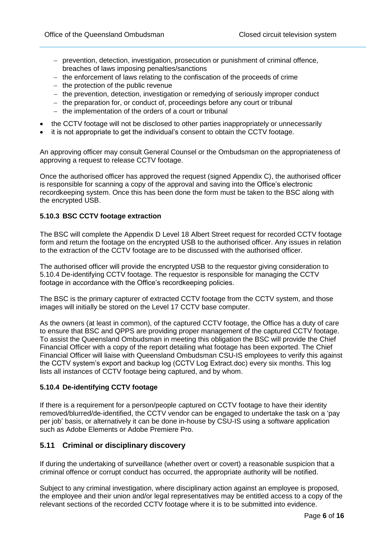- $-$  prevention, detection, investigation, prosecution or punishment of criminal offence, breaches of laws imposing penalties/sanctions
- $-$  the enforcement of laws relating to the confiscation of the proceeds of crime
- $-$  the protection of the public revenue
- the prevention, detection, investigation or remedying of seriously improper conduct
- $-$  the preparation for, or conduct of, proceedings before any court or tribunal
- $-$  the implementation of the orders of a court or tribunal
- the CCTV footage will not be disclosed to other parties inappropriately or unnecessarily
- it is not appropriate to get the individual's consent to obtain the CCTV footage.

An approving officer may consult General Counsel or the Ombudsman on the appropriateness of approving a request to release CCTV footage.

Once the authorised officer has approved the request (signed Appendix C), the authorised officer is responsible for scanning a copy of the approval and saving into the Office's electronic recordkeeping system. Once this has been done the form must be taken to the BSC along with the encrypted USB.

#### **5.10.3 BSC CCTV footage extraction**

The BSC will complete the Appendix D Level 18 Albert Street request for recorded CCTV footage form and return the footage on the encrypted USB to the authorised officer. Any issues in relation to the extraction of the CCTV footage are to be discussed with the authorised officer.

The authorised officer will provide the encrypted USB to the requestor giving consideration to 5.10.4 De-identifying CCTV footage. The requestor is responsible for managing the CCTV footage in accordance with the Office's recordkeeping policies.

The BSC is the primary capturer of extracted CCTV footage from the CCTV system, and those images will initially be stored on the Level 17 CCTV base computer.

As the owners (at least in common), of the captured CCTV footage, the Office has a duty of care to ensure that BSC and QPPS are providing proper management of the captured CCTV footage. To assist the Queensland Ombudsman in meeting this obligation the BSC will provide the Chief Financial Officer with a copy of the report detailing what footage has been exported. The Chief Financial Officer will liaise with Queensland Ombudsman CSU-IS employees to verify this against the CCTV system's export and backup log (CCTV Log Extract.doc) every six months. This log lists all instances of CCTV footage being captured, and by whom.

## **5.10.4 De-identifying CCTV footage**

If there is a requirement for a person/people captured on CCTV footage to have their identity removed/blurred/de-identified, the CCTV vendor can be engaged to undertake the task on a 'pay per job' basis, or alternatively it can be done in-house by CSU-IS using a software application such as Adobe Elements or Adobe Premiere Pro.

## **5.11 Criminal or disciplinary discovery**

If during the undertaking of surveillance (whether overt or covert) a reasonable suspicion that a criminal offence or corrupt conduct has occurred, the appropriate authority will be notified.

Subject to any criminal investigation, where disciplinary action against an employee is proposed, the employee and their union and/or legal representatives may be entitled access to a copy of the relevant sections of the recorded CCTV footage where it is to be submitted into evidence.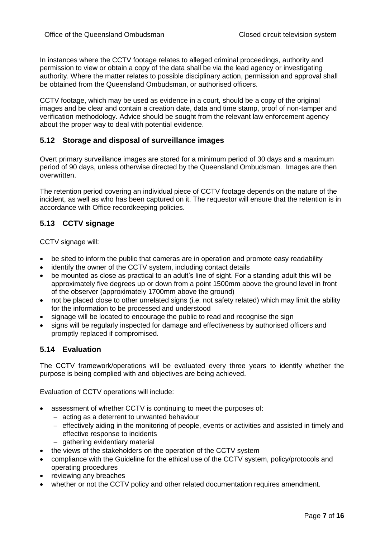In instances where the CCTV footage relates to alleged criminal proceedings, authority and permission to view or obtain a copy of the data shall be via the lead agency or investigating authority. Where the matter relates to possible disciplinary action, permission and approval shall be obtained from the Queensland Ombudsman, or authorised officers.

CCTV footage, which may be used as evidence in a court, should be a copy of the original images and be clear and contain a creation date, data and time stamp, proof of non-tamper and verification methodology. Advice should be sought from the relevant law enforcement agency about the proper way to deal with potential evidence.

# **5.12 Storage and disposal of surveillance images**

Overt primary surveillance images are stored for a minimum period of 30 days and a maximum period of 90 days, unless otherwise directed by the Queensland Ombudsman. Images are then overwritten.

The retention period covering an individual piece of CCTV footage depends on the nature of the incident, as well as who has been captured on it. The requestor will ensure that the retention is in accordance with Office recordkeeping policies.

# **5.13 CCTV signage**

CCTV signage will:

- be sited to inform the public that cameras are in operation and promote easy readability
- identify the owner of the CCTV system, including contact details
- be mounted as close as practical to an adult's line of sight. For a standing adult this will be approximately five degrees up or down from a point 1500mm above the ground level in front of the observer (approximately 1700mm above the ground)
- not be placed close to other unrelated signs (i.e. not safety related) which may limit the ability for the information to be processed and understood
- signage will be located to encourage the public to read and recognise the sign
- signs will be regularly inspected for damage and effectiveness by authorised officers and promptly replaced if compromised.

## **5.14 Evaluation**

The CCTV framework/operations will be evaluated every three years to identify whether the purpose is being complied with and objectives are being achieved.

Evaluation of CCTV operations will include:

- assessment of whether CCTV is continuing to meet the purposes of:
	- $-$  acting as a deterrent to unwanted behaviour
	- effectively aiding in the monitoring of people, events or activities and assisted in timely and effective response to incidents
	- gathering evidentiary material
- the views of the stakeholders on the operation of the CCTV system
- compliance with the Guideline for the ethical use of the CCTV system, policy/protocols and operating procedures
- reviewing any breaches
- whether or not the CCTV policy and other related documentation requires amendment.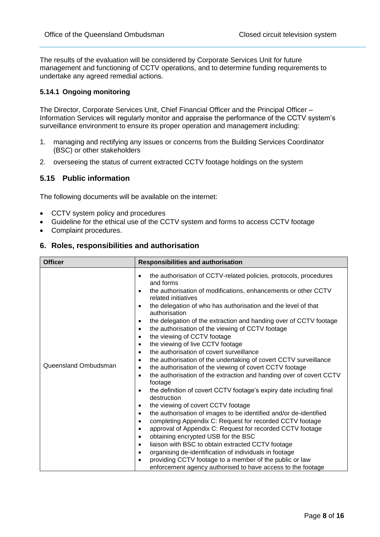The results of the evaluation will be considered by Corporate Services Unit for future management and functioning of CCTV operations, and to determine funding requirements to undertake any agreed remedial actions.

## **5.14.1 Ongoing monitoring**

The Director, Corporate Services Unit, Chief Financial Officer and the Principal Officer – Information Services will regularly monitor and appraise the performance of the CCTV system's surveillance environment to ensure its proper operation and management including:

- 1. managing and rectifying any issues or concerns from the Building Services Coordinator (BSC) or other stakeholders
- 2. overseeing the status of current extracted CCTV footage holdings on the system

## **5.15 Public information**

The following documents will be available on the internet:

- CCTV system policy and procedures
- Guideline for the ethical use of the CCTV system and forms to access CCTV footage
- Complaint procedures.

#### **6. Roles, responsibilities and authorisation**

| <b>Officer</b>       | <b>Responsibilities and authorisation</b>                                                                                                                                                                                                                                                                                                                                                                                                                                                                                                                                                                                                                                                                                                                                                                                                                                                                                                                                                                                                                                                                                                                                                                                                                                                                                                                                                                                                                                                                                                                                   |  |  |  |  |  |  |
|----------------------|-----------------------------------------------------------------------------------------------------------------------------------------------------------------------------------------------------------------------------------------------------------------------------------------------------------------------------------------------------------------------------------------------------------------------------------------------------------------------------------------------------------------------------------------------------------------------------------------------------------------------------------------------------------------------------------------------------------------------------------------------------------------------------------------------------------------------------------------------------------------------------------------------------------------------------------------------------------------------------------------------------------------------------------------------------------------------------------------------------------------------------------------------------------------------------------------------------------------------------------------------------------------------------------------------------------------------------------------------------------------------------------------------------------------------------------------------------------------------------------------------------------------------------------------------------------------------------|--|--|--|--|--|--|
| Queensland Ombudsman | the authorisation of CCTV-related policies, protocols, procedures<br>$\bullet$<br>and forms<br>the authorisation of modifications, enhancements or other CCTV<br>$\bullet$<br>related initiatives<br>the delegation of who has authorisation and the level of that<br>$\bullet$<br>authorisation<br>the delegation of the extraction and handing over of CCTV footage<br>$\bullet$<br>the authorisation of the viewing of CCTV footage<br>$\bullet$<br>the viewing of CCTV footage<br>$\bullet$<br>the viewing of live CCTV footage<br>$\bullet$<br>the authorisation of covert surveillance<br>$\bullet$<br>the authorisation of the undertaking of covert CCTV surveillance<br>$\bullet$<br>the authorisation of the viewing of covert CCTV footage<br>$\bullet$<br>the authorisation of the extraction and handing over of covert CCTV<br>$\bullet$<br>footage<br>the definition of covert CCTV footage's expiry date including final<br>$\bullet$<br>destruction<br>the viewing of covert CCTV footage<br>$\bullet$<br>the authorisation of images to be identified and/or de-identified<br>$\bullet$<br>completing Appendix C: Request for recorded CCTV footage<br>$\bullet$<br>approval of Appendix C: Request for recorded CCTV footage<br>$\bullet$<br>obtaining encrypted USB for the BSC<br>$\bullet$<br>liaison with BSC to obtain extracted CCTV footage<br>$\bullet$<br>organising de-identification of individuals in footage<br>٠<br>providing CCTV footage to a member of the public or law<br>enforcement agency authorised to have access to the footage |  |  |  |  |  |  |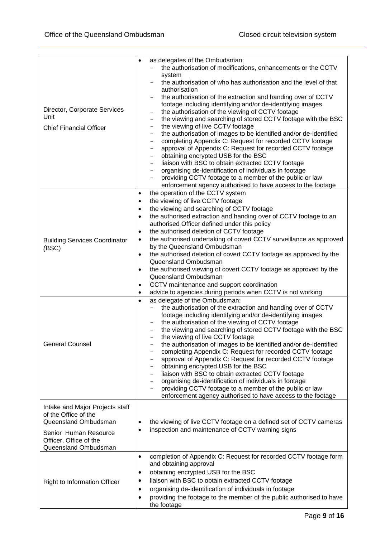| Director, Corporate Services<br>Unit<br><b>Chief Financial Officer</b>                                                                                     | as delegates of the Ombudsman:<br>$\bullet$<br>the authorisation of modifications, enhancements or the CCTV<br>system<br>the authorisation of who has authorisation and the level of that<br>authorisation<br>the authorisation of the extraction and handing over of CCTV<br>footage including identifying and/or de-identifying images<br>the authorisation of the viewing of CCTV footage<br>-<br>the viewing and searching of stored CCTV footage with the BSC<br>$\qquad \qquad -$<br>the viewing of live CCTV footage<br>$\qquad \qquad -$<br>the authorisation of images to be identified and/or de-identified<br>-<br>completing Appendix C: Request for recorded CCTV footage<br>$\qquad \qquad -$<br>approval of Appendix C: Request for recorded CCTV footage<br>$\qquad \qquad -$<br>obtaining encrypted USB for the BSC<br>$\qquad \qquad -$<br>liaison with BSC to obtain extracted CCTV footage<br>$\qquad \qquad -$<br>organising de-identification of individuals in footage<br>$\qquad \qquad -$<br>providing CCTV footage to a member of the public or law<br>$\qquad \qquad -$<br>enforcement agency authorised to have access to the footage |
|------------------------------------------------------------------------------------------------------------------------------------------------------------|-------------------------------------------------------------------------------------------------------------------------------------------------------------------------------------------------------------------------------------------------------------------------------------------------------------------------------------------------------------------------------------------------------------------------------------------------------------------------------------------------------------------------------------------------------------------------------------------------------------------------------------------------------------------------------------------------------------------------------------------------------------------------------------------------------------------------------------------------------------------------------------------------------------------------------------------------------------------------------------------------------------------------------------------------------------------------------------------------------------------------------------------------------------------|
| <b>Building Services Coordinator</b><br>(BSC)                                                                                                              | the operation of the CCTV system<br>$\bullet$<br>the viewing of live CCTV footage<br>$\bullet$<br>the viewing and searching of CCTV footage<br>$\bullet$<br>the authorised extraction and handing over of CCTV footage to an<br>$\bullet$<br>authorised Officer defined under this policy<br>the authorised deletion of CCTV footage<br>$\bullet$<br>the authorised undertaking of covert CCTV surveillance as approved<br>$\bullet$<br>by the Queensland Ombudsman<br>the authorised deletion of covert CCTV footage as approved by the<br>$\bullet$<br>Queensland Ombudsman<br>the authorised viewing of covert CCTV footage as approved by the<br>$\bullet$<br>Queensland Ombudsman<br>CCTV maintenance and support coordination<br>$\bullet$<br>advice to agencies during periods when CCTV is not working<br>$\bullet$                                                                                                                                                                                                                                                                                                                                       |
| <b>General Counsel</b>                                                                                                                                     | as delegate of the Ombudsman:<br>$\bullet$<br>the authorisation of the extraction and handing over of CCTV<br>$\qquad \qquad -$<br>footage including identifying and/or de-identifying images<br>the authorisation of the viewing of CCTV footage<br>the viewing and searching of stored CCTV footage with the BSC<br>the viewing of live CCTV footage<br>the authorisation of images to be identified and/or de-identified<br>completing Appendix C: Request for recorded CCTV footage<br>approval of Appendix C: Request for recorded CCTV footage<br>$\qquad \qquad$<br>obtaining encrypted USB for the BSC<br>$\qquad \qquad$<br>liaison with BSC to obtain extracted CCTV footage<br>-<br>organising de-identification of individuals in footage<br>$\overline{\phantom{0}}$<br>providing CCTV footage to a member of the public or law<br>enforcement agency authorised to have access to the footage                                                                                                                                                                                                                                                       |
| Intake and Major Projects staff<br>of the Office of the<br>Queensland Ombudsman<br>Senior Human Resource<br>Officer, Office of the<br>Queensland Ombudsman | the viewing of live CCTV footage on a defined set of CCTV cameras<br>٠<br>inspection and maintenance of CCTV warning signs<br>$\bullet$                                                                                                                                                                                                                                                                                                                                                                                                                                                                                                                                                                                                                                                                                                                                                                                                                                                                                                                                                                                                                           |
| <b>Right to Information Officer</b>                                                                                                                        | completion of Appendix C: Request for recorded CCTV footage form<br>$\bullet$<br>and obtaining approval<br>obtaining encrypted USB for the BSC<br>٠<br>liaison with BSC to obtain extracted CCTV footage<br>٠<br>organising de-identification of individuals in footage<br>$\bullet$<br>providing the footage to the member of the public authorised to have<br>٠<br>the footage                                                                                                                                                                                                                                                                                                                                                                                                                                                                                                                                                                                                                                                                                                                                                                                  |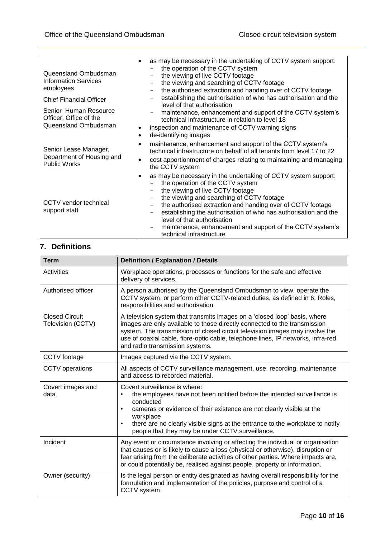| Queensland Ombudsman<br><b>Information Services</b><br>employees<br><b>Chief Financial Officer</b><br>Senior Human Resource<br>Officer, Office of the<br>Queensland Ombudsman | as may be necessary in the undertaking of CCTV system support:<br>$\bullet$<br>the operation of the CCTV system<br>the viewing of live CCTV footage<br>the viewing and searching of CCTV footage<br>the authorised extraction and handing over of CCTV footage<br>establishing the authorisation of who has authorisation and the<br>level of that authorisation<br>maintenance, enhancement and support of the CCTV system's<br>technical infrastructure in relation to level 18<br>inspection and maintenance of CCTV warning signs<br>$\bullet$<br>de-identifying images<br>٠ |
|-------------------------------------------------------------------------------------------------------------------------------------------------------------------------------|----------------------------------------------------------------------------------------------------------------------------------------------------------------------------------------------------------------------------------------------------------------------------------------------------------------------------------------------------------------------------------------------------------------------------------------------------------------------------------------------------------------------------------------------------------------------------------|
| Senior Lease Manager,<br>Department of Housing and<br><b>Public Works</b>                                                                                                     | maintenance, enhancement and support of the CCTV system's<br>$\bullet$<br>technical infrastructure on behalf of all tenants from level 17 to 22<br>cost apportionment of charges relating to maintaining and managing<br>$\bullet$<br>the CCTV system                                                                                                                                                                                                                                                                                                                            |
| CCTV vendor technical<br>support staff                                                                                                                                        | as may be necessary in the undertaking of CCTV system support:<br>$\bullet$<br>the operation of the CCTV system<br>the viewing of live CCTV footage<br>the viewing and searching of CCTV footage<br>the authorised extraction and handing over of CCTV footage<br>establishing the authorisation of who has authorisation and the<br>level of that authorisation<br>maintenance, enhancement and support of the CCTV system's<br>technical infrastructure                                                                                                                        |

# **7. Definitions**

| <b>Term</b>                                | <b>Definition / Explanation / Details</b>                                                                                                                                                                                                                                                                                                                                                |
|--------------------------------------------|------------------------------------------------------------------------------------------------------------------------------------------------------------------------------------------------------------------------------------------------------------------------------------------------------------------------------------------------------------------------------------------|
| Activities                                 | Workplace operations, processes or functions for the safe and effective<br>delivery of services.                                                                                                                                                                                                                                                                                         |
| Authorised officer                         | A person authorised by the Queensland Ombudsman to view, operate the<br>CCTV system, or perform other CCTV-related duties, as defined in 6. Roles,<br>responsibilities and authorisation                                                                                                                                                                                                 |
| <b>Closed Circuit</b><br>Television (CCTV) | A television system that transmits images on a 'closed loop' basis, where<br>images are only available to those directly connected to the transmission<br>system. The transmission of closed circuit television images may involve the<br>use of coaxial cable, fibre-optic cable, telephone lines, IP networks, infra-red<br>and radio transmission systems.                            |
| CCTV footage                               | Images captured via the CCTV system.                                                                                                                                                                                                                                                                                                                                                     |
| <b>CCTV</b> operations                     | All aspects of CCTV surveillance management, use, recording, maintenance<br>and access to recorded material.                                                                                                                                                                                                                                                                             |
| Covert images and<br>data                  | Covert surveillance is where:<br>the employees have not been notified before the intended surveillance is<br>$\bullet$<br>conducted<br>cameras or evidence of their existence are not clearly visible at the<br>$\bullet$<br>workplace<br>there are no clearly visible signs at the entrance to the workplace to notify<br>$\bullet$<br>people that they may be under CCTV surveillance. |
| Incident                                   | Any event or circumstance involving or affecting the individual or organisation<br>that causes or is likely to cause a loss (physical or otherwise), disruption or<br>fear arising from the deliberate activities of other parties. Where impacts are,<br>or could potentially be, realised against people, property or information.                                                     |
| Owner (security)                           | Is the legal person or entity designated as having overall responsibility for the<br>formulation and implementation of the policies, purpose and control of a<br>CCTV system.                                                                                                                                                                                                            |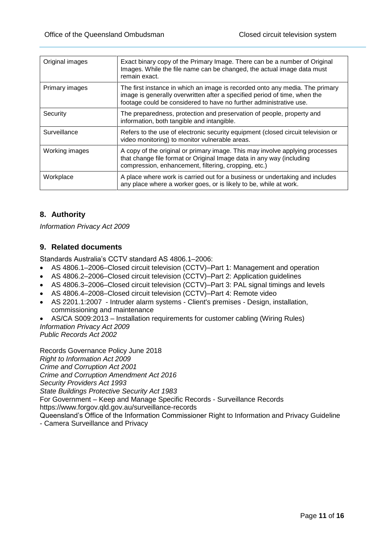| Original images | Exact binary copy of the Primary Image. There can be a number of Original<br>Images. While the file name can be changed, the actual image data must<br>remain exact.                                                            |
|-----------------|---------------------------------------------------------------------------------------------------------------------------------------------------------------------------------------------------------------------------------|
| Primary images  | The first instance in which an image is recorded onto any media. The primary<br>image is generally overwritten after a specified period of time, when the<br>footage could be considered to have no further administrative use. |
| Security        | The preparedness, protection and preservation of people, property and<br>information, both tangible and intangible.                                                                                                             |
| Surveillance    | Refers to the use of electronic security equipment (closed circuit television or<br>video monitoring) to monitor vulnerable areas.                                                                                              |
| Working images  | A copy of the original or primary image. This may involve applying processes<br>that change file format or Original Image data in any way (including<br>compression, enhancement, filtering, cropping, etc.)                    |
| Workplace       | A place where work is carried out for a business or undertaking and includes<br>any place where a worker goes, or is likely to be, while at work.                                                                               |

# **8. Authority**

*Information Privacy Act 2009*

# **9. Related documents**

Standards Australia's CCTV standard AS 4806.1–2006:

- AS 4806.1–2006–Closed circuit television (CCTV)–Part 1: Management and operation
- AS 4806.2–2006–Closed circuit television (CCTV)–Part 2: Application guidelines
- AS 4806.3–2006–Closed circuit television (CCTV)–Part 3: PAL signal timings and levels
- AS 4806.4–2008–Closed circuit television (CCTV)–Part 4: Remote video
- AS 2201.1:2007 Intruder alarm systems Client's premises Design, installation, commissioning and maintenance
- AS/CA S009:2013 Installation requirements for customer cabling (Wiring Rules) *Information Privacy Act 2009 Public Records Act 2002*

Records Governance Policy June 2018 *Right to Information Act 2009 Crime and Corruption Act 2001 Crime and Corruption Amendment Act 2016 Security Providers Act 1993 State Buildings Protective Security Act 1983* For Government – Keep and Manage Specific Records - Surveillance Records https://www.forgov.qld.gov.au/surveillance-records Queensland's Office of the Information Commissioner Right to Information and Privacy Guideline

- Camera Surveillance and Privacy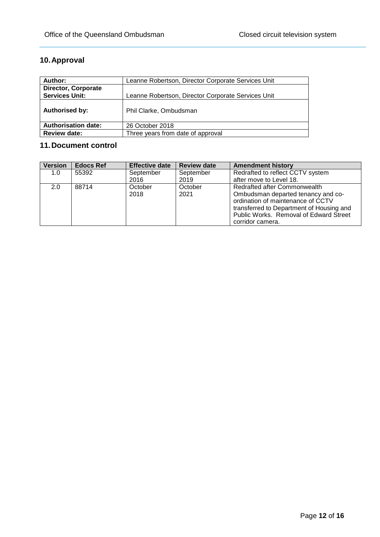# **10.Approval**

| Author:                    | Leanne Robertson, Director Corporate Services Unit |  |  |  |  |  |
|----------------------------|----------------------------------------------------|--|--|--|--|--|
| <b>Director, Corporate</b> |                                                    |  |  |  |  |  |
| <b>Services Unit:</b>      | Leanne Robertson, Director Corporate Services Unit |  |  |  |  |  |
| <b>Authorised by:</b>      | Phil Clarke, Ombudsman                             |  |  |  |  |  |
| <b>Authorisation date:</b> | 26 October 2018                                    |  |  |  |  |  |
| <b>Review date:</b>        | Three years from date of approval                  |  |  |  |  |  |

# **11.Document control**

| <b>Version</b> | <b>Edocs Ref</b> | <b>Effective date</b> | <b>Review date</b> | <b>Amendment history</b>                                                                                                                                                                                          |
|----------------|------------------|-----------------------|--------------------|-------------------------------------------------------------------------------------------------------------------------------------------------------------------------------------------------------------------|
| 1.0            | 55392            | September             | September          | Redrafted to reflect CCTV system                                                                                                                                                                                  |
|                |                  | 2016                  | 2019               | after move to Level 18.                                                                                                                                                                                           |
| $2.0^{\circ}$  | 88714            | October<br>2018       | October<br>2021    | Redrafted after Commonwealth<br>Ombudsman departed tenancy and co-<br>ordination of maintenance of CCTV<br>transferred to Department of Housing and<br>Public Works. Removal of Edward Street<br>corridor camera. |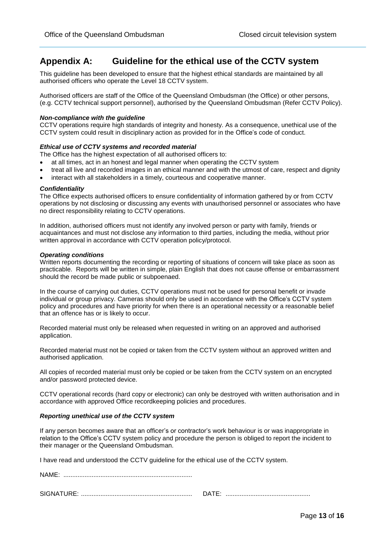# **Appendix A: Guideline for the ethical use of the CCTV system**

This guideline has been developed to ensure that the highest ethical standards are maintained by all authorised officers who operate the Level 18 CCTV system.

Authorised officers are staff of the Office of the Queensland Ombudsman (the Office) or other persons, (e.g. CCTV technical support personnel), authorised by the Queensland Ombudsman (Refer CCTV Policy).

#### *Non-compliance with the guideline*

CCTV operations require high standards of integrity and honesty. As a consequence, unethical use of the CCTV system could result in disciplinary action as provided for in the Office's code of conduct.

#### *Ethical use of CCTV systems and recorded material*

The Office has the highest expectation of all authorised officers to:

- at all times, act in an honest and legal manner when operating the CCTV system
- treat all live and recorded images in an ethical manner and with the utmost of care, respect and dignity
- interact with all stakeholders in a timely, courteous and cooperative manner.

#### *Confidentiality*

The Office expects authorised officers to ensure confidentiality of information gathered by or from CCTV operations by not disclosing or discussing any events with unauthorised personnel or associates who have no direct responsibility relating to CCTV operations.

In addition, authorised officers must not identify any involved person or party with family, friends or acquaintances and must not disclose any information to third parties, including the media, without prior written approval in accordance with CCTV operation policy/protocol.

#### *Operating conditions*

Written reports documenting the recording or reporting of situations of concern will take place as soon as practicable. Reports will be written in simple, plain English that does not cause offense or embarrassment should the record be made public or subpoenaed.

In the course of carrying out duties, CCTV operations must not be used for personal benefit or invade individual or group privacy. Cameras should only be used in accordance with the Office's CCTV system policy and procedures and have priority for when there is an operational necessity or a reasonable belief that an offence has or is likely to occur.

Recorded material must only be released when requested in writing on an approved and authorised application.

Recorded material must not be copied or taken from the CCTV system without an approved written and authorised application.

All copies of recorded material must only be copied or be taken from the CCTV system on an encrypted and/or password protected device.

CCTV operational records (hard copy or electronic) can only be destroyed with written authorisation and in accordance with approved Office recordkeeping policies and procedures.

#### *Reporting unethical use of the CCTV system*

If any person becomes aware that an officer's or contractor's work behaviour is or was inappropriate in relation to the Office's CCTV system policy and procedure the person is obliged to report the incident to their manager or the Queensland Ombudsman.

I have read and understood the CCTV guideline for the ethical use of the CCTV system.

NAME: .........................................................................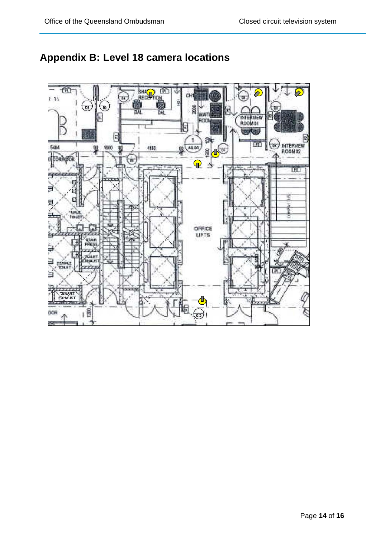

# **Appendix B: Level 18 camera locations**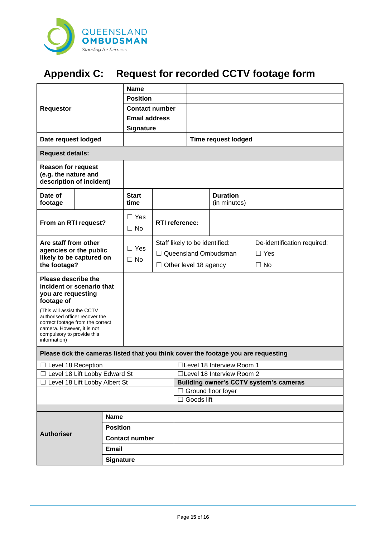

# **Appendix C: Request for recorded CCTV footage form**

| <b>Requestor</b>                                                                                                                                                             |                  | <b>Name</b>             |                            |                                           |                                 |                             |  |
|------------------------------------------------------------------------------------------------------------------------------------------------------------------------------|------------------|-------------------------|----------------------------|-------------------------------------------|---------------------------------|-----------------------------|--|
|                                                                                                                                                                              |                  | <b>Position</b>         |                            |                                           |                                 |                             |  |
|                                                                                                                                                                              |                  | <b>Contact number</b>   |                            |                                           |                                 |                             |  |
|                                                                                                                                                                              |                  | <b>Email address</b>    |                            |                                           |                                 |                             |  |
|                                                                                                                                                                              |                  | <b>Signature</b>        |                            |                                           |                                 |                             |  |
| Date request lodged                                                                                                                                                          |                  |                         |                            |                                           | <b>Time request lodged</b>      |                             |  |
| <b>Request details:</b>                                                                                                                                                      |                  |                         |                            |                                           |                                 |                             |  |
| <b>Reason for request</b><br>(e.g. the nature and<br>description of incident)                                                                                                |                  |                         |                            |                                           |                                 |                             |  |
| Date of<br>footage                                                                                                                                                           |                  | <b>Start</b><br>time    |                            |                                           | <b>Duration</b><br>(in minutes) |                             |  |
| From an RTI request?                                                                                                                                                         |                  | $\Box$ Yes<br>$\Box$ No | <b>RTI</b> reference:      |                                           |                                 |                             |  |
| Are staff from other                                                                                                                                                         |                  |                         |                            | Staff likely to be identified:            |                                 | De-identification required: |  |
| agencies or the public                                                                                                                                                       |                  | $\Box$ Yes              |                            | □ Queensland Ombudsman                    |                                 | $\Box$ Yes                  |  |
| likely to be captured on<br>the footage?                                                                                                                                     |                  | $\Box$ No               |                            | □ Other level 18 agency                   |                                 | $\Box$ No                   |  |
| <b>Please describe the</b><br>incident or scenario that<br>you are requesting<br>footage of                                                                                  |                  |                         |                            |                                           |                                 |                             |  |
| (This will assist the CCTV<br>authorised officer recover the<br>correct footage from the correct<br>camera. However, it is not<br>compulsory to provide this<br>information) |                  |                         |                            |                                           |                                 |                             |  |
| Please tick the cameras listed that you think cover the footage you are requesting                                                                                           |                  |                         |                            |                                           |                                 |                             |  |
| $\Box$ Level 18 Reception                                                                                                                                                    |                  |                         |                            | □Level 18 Interview Room 1                |                                 |                             |  |
| Level 18 Lift Lobby Edward St                                                                                                                                                |                  |                         | □Level 18 Interview Room 2 |                                           |                                 |                             |  |
| □ Level 18 Lift Lobby Albert St                                                                                                                                              |                  |                         |                            | Building owner's CCTV system's cameras    |                                 |                             |  |
|                                                                                                                                                                              |                  |                         |                            | $\Box$ Ground floor foyer<br>□ Goods lift |                                 |                             |  |
|                                                                                                                                                                              |                  |                         |                            |                                           |                                 |                             |  |
| <b>Name</b>                                                                                                                                                                  |                  |                         |                            |                                           |                                 |                             |  |
|                                                                                                                                                                              | <b>Position</b>  |                         |                            |                                           |                                 |                             |  |
| <b>Authoriser</b>                                                                                                                                                            |                  | <b>Contact number</b>   |                            |                                           |                                 |                             |  |
|                                                                                                                                                                              | <b>Email</b>     |                         |                            |                                           |                                 |                             |  |
|                                                                                                                                                                              | <b>Signature</b> |                         |                            |                                           |                                 |                             |  |
|                                                                                                                                                                              |                  |                         |                            |                                           |                                 |                             |  |